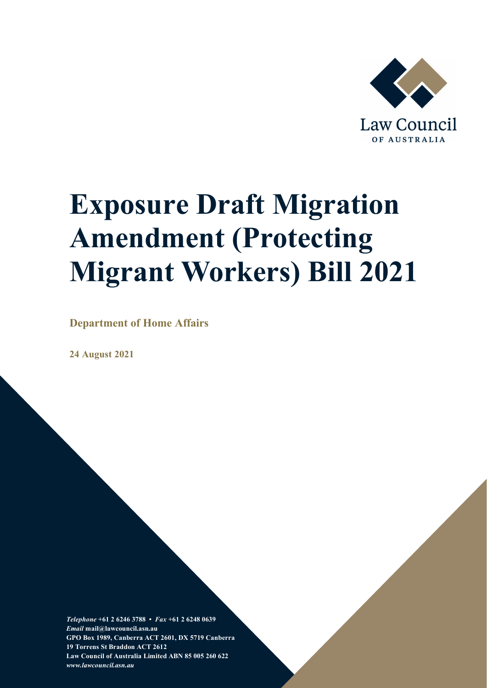

# <span id="page-0-0"></span>**Exposure Draft Migration Amendment (Protecting Migrant Workers) Bill 2021**

**Department of Home Affairs** 

**24 August 2021** 

*Telephone* **+61 2 6246 3788 •** *Fax* **+61 2 6248 0639**  *Email* **mail@lawcouncil.asn.au GPO Box 1989, Canberra ACT 2601, DX 5719 Canberra 19 Torrens St Braddon ACT 2612 Law Council of Australia Limited ABN 85 005 260 622** *www.lawcouncil.asn.au*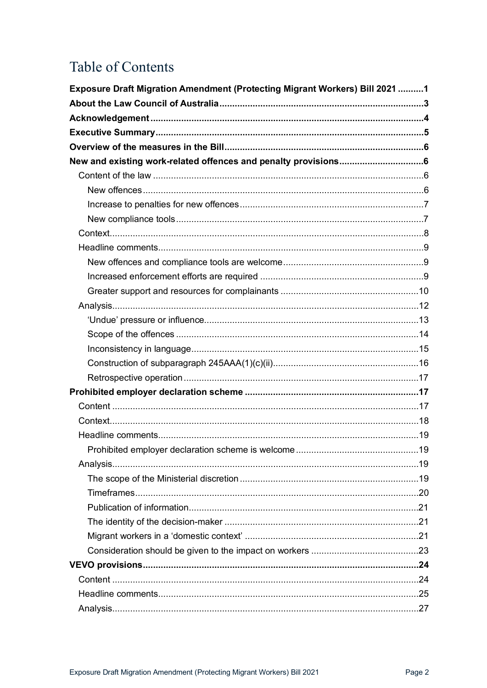# Table of Contents

| Exposure Draft Migration Amendment (Protecting Migrant Workers) Bill 2021 1 |  |
|-----------------------------------------------------------------------------|--|
|                                                                             |  |
|                                                                             |  |
|                                                                             |  |
|                                                                             |  |
|                                                                             |  |
|                                                                             |  |
|                                                                             |  |
|                                                                             |  |
|                                                                             |  |
|                                                                             |  |
|                                                                             |  |
|                                                                             |  |
|                                                                             |  |
|                                                                             |  |
|                                                                             |  |
|                                                                             |  |
|                                                                             |  |
|                                                                             |  |
|                                                                             |  |
|                                                                             |  |
|                                                                             |  |
|                                                                             |  |
|                                                                             |  |
|                                                                             |  |
|                                                                             |  |
|                                                                             |  |
|                                                                             |  |
|                                                                             |  |
|                                                                             |  |
|                                                                             |  |
|                                                                             |  |
|                                                                             |  |
|                                                                             |  |
|                                                                             |  |
|                                                                             |  |
|                                                                             |  |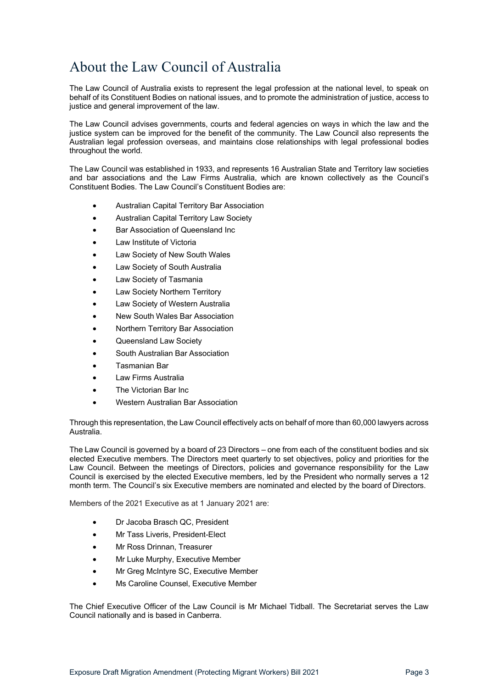# <span id="page-2-0"></span>About the Law Council of Australia

The Law Council of Australia exists to represent the legal profession at the national level, to speak on behalf of its Constituent Bodies on national issues, and to promote the administration of justice, access to justice and general improvement of the law.

The Law Council advises governments, courts and federal agencies on ways in which the law and the justice system can be improved for the benefit of the community. The Law Council also represents the Australian legal profession overseas, and maintains close relationships with legal professional bodies throughout the world.

The Law Council was established in 1933, and represents 16 Australian State and Territory law societies and bar associations and the Law Firms Australia, which are known collectively as the Council's Constituent Bodies. The Law Council's Constituent Bodies are:

- Australian Capital Territory Bar Association
- Australian Capital Territory Law Society
- Bar Association of Queensland Inc
- Law Institute of Victoria
- Law Society of New South Wales
- Law Society of South Australia
- Law Society of Tasmania
- Law Society Northern Territory
- Law Society of Western Australia
- New South Wales Bar Association
- Northern Territory Bar Association
- Queensland Law Society
- South Australian Bar Association
- Tasmanian Bar
- Law Firms Australia
- The Victorian Bar Inc.
- Western Australian Bar Association

Through this representation, the Law Council effectively acts on behalf of more than 60,000 lawyers across Australia.

The Law Council is governed by a board of 23 Directors – one from each of the constituent bodies and six elected Executive members. The Directors meet quarterly to set objectives, policy and priorities for the Law Council. Between the meetings of Directors, policies and governance responsibility for the Law Council is exercised by the elected Executive members, led by the President who normally serves a 12 month term. The Council's six Executive members are nominated and elected by the board of Directors.

Members of the 2021 Executive as at 1 January 2021 are:

- Dr Jacoba Brasch QC, President
- Mr Tass Liveris, President-Elect
- Mr Ross Drinnan, Treasurer
- Mr Luke Murphy, Executive Member
- Mr Greg McIntyre SC, Executive Member
- Ms Caroline Counsel, Executive Member

The Chief Executive Officer of the Law Council is Mr Michael Tidball. The Secretariat serves the Law Council nationally and is based in Canberra.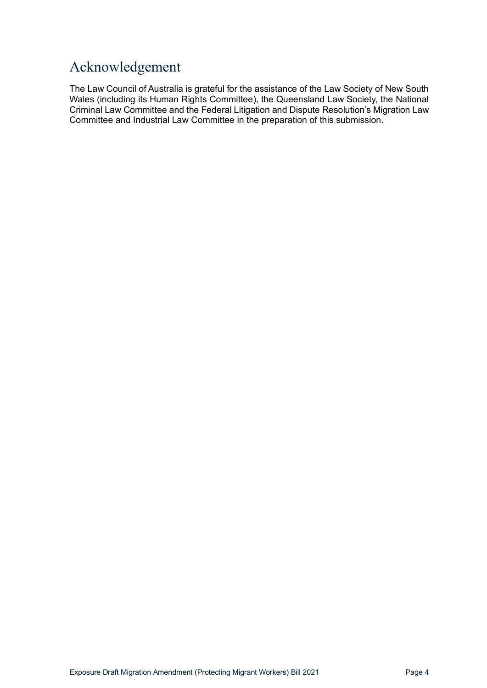# <span id="page-3-0"></span>Acknowledgement

The Law Council of Australia is grateful for the assistance of the Law Society of New South Wales (including its Human Rights Committee), the Queensland Law Society, the National Criminal Law Committee and the Federal Litigation and Dispute Resolution's Migration Law Committee and Industrial Law Committee in the preparation of this submission.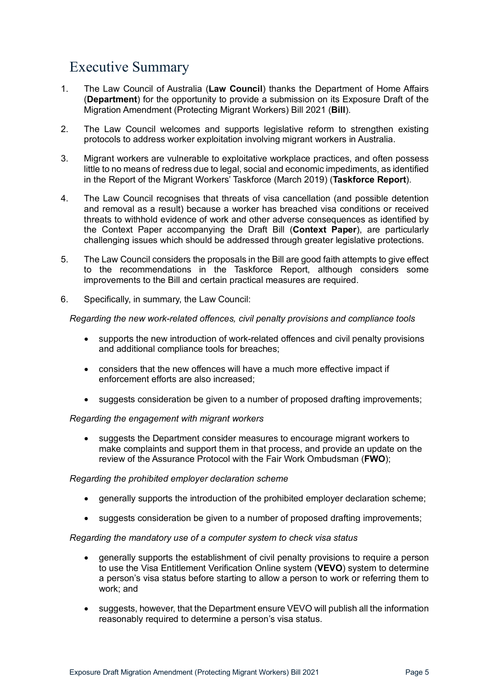# <span id="page-4-0"></span>Executive Summary

- 1. The Law Council of Australia (**Law Council**) thanks the Department of Home Affairs (**Department**) for the opportunity to provide a submission on its Exposure Draft of the Migration Amendment (Protecting Migrant Workers) Bill 2021 (**Bill**).
- 2. The Law Council welcomes and supports legislative reform to strengthen existing protocols to address worker exploitation involving migrant workers in Australia.
- 3. Migrant workers are vulnerable to exploitative workplace practices, and often possess little to no means of redress due to legal, social and economic impediments, as identified in the Report of the Migrant Workers' Taskforce (March 2019) (**Taskforce Report**).
- 4. The Law Council recognises that threats of visa cancellation (and possible detention and removal as a result) because a worker has breached visa conditions or received threats to withhold evidence of work and other adverse consequences as identified by the Context Paper accompanying the Draft Bill (**Context Paper**), are particularly challenging issues which should be addressed through greater legislative protections.
- 5. The Law Council considers the proposals in the Bill are good faith attempts to give effect to the recommendations in the Taskforce Report, although considers some improvements to the Bill and certain practical measures are required.
- 6. Specifically, in summary, the Law Council:

*Regarding the new work-related offences, civil penalty provisions and compliance tools*

- supports the new introduction of work-related offences and civil penalty provisions and additional compliance tools for breaches;
- considers that the new offences will have a much more effective impact if enforcement efforts are also increased;
- suggests consideration be given to a number of proposed drafting improvements;

#### *Regarding the engagement with migrant workers*

• suggests the Department consider measures to encourage migrant workers to make complaints and support them in that process, and provide an update on the review of the Assurance Protocol with the Fair Work Ombudsman (**FWO**);

#### *Regarding the prohibited employer declaration scheme*

- generally supports the introduction of the prohibited employer declaration scheme;
- suggests consideration be given to a number of proposed drafting improvements;

#### *Regarding the mandatory use of a computer system to check visa status*

- generally supports the establishment of civil penalty provisions to require a person to use the Visa Entitlement Verification Online system (**VEVO**) system to determine a person's visa status before starting to allow a person to work or referring them to work; and
- suggests, however, that the Department ensure VEVO will publish all the information reasonably required to determine a person's visa status.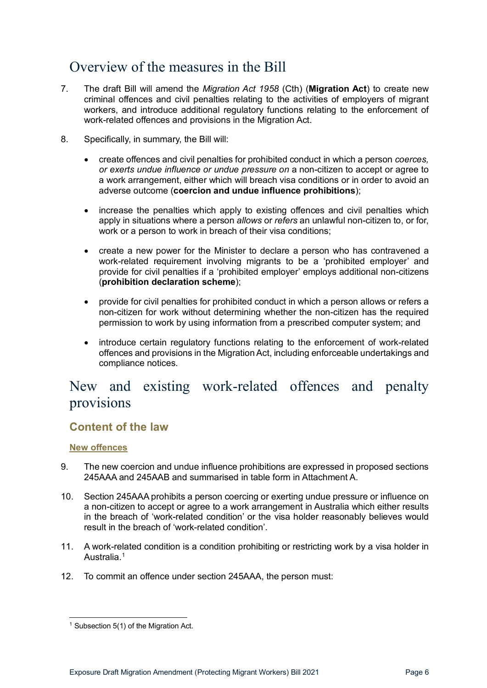# <span id="page-5-0"></span>Overview of the measures in the Bill

- 7. The draft Bill will amend the *Migration Act 1958* (Cth) (**Migration Act**) to create new criminal offences and civil penalties relating to the activities of employers of migrant workers, and introduce additional regulatory functions relating to the enforcement of work-related offences and provisions in the Migration Act.
- 8. Specifically, in summary, the Bill will:
	- create offences and civil penalties for prohibited conduct in which a person *coerces, or exerts undue influence or undue pressure on* a non-citizen to accept or agree to a work arrangement, either which will breach visa conditions or in order to avoid an adverse outcome (**coercion and undue influence prohibitions**);
	- increase the penalties which apply to existing offences and civil penalties which apply in situations where a person *allows* or *refers* an unlawful non-citizen to, or for, work or a person to work in breach of their visa conditions;
	- create a new power for the Minister to declare a person who has contravened a work-related requirement involving migrants to be a 'prohibited employer' and provide for civil penalties if a 'prohibited employer' employs additional non-citizens (**prohibition declaration scheme**);
	- provide for civil penalties for prohibited conduct in which a person allows or refers a non-citizen for work without determining whether the non-citizen has the required permission to work by using information from a prescribed computer system; and
	- introduce certain regulatory functions relating to the enforcement of work-related offences and provisions in the Migration Act, including enforceable undertakings and compliance notices.

# <span id="page-5-1"></span>New and existing work-related offences and penalty provisions

# <span id="page-5-2"></span>**Content of the law**

### <span id="page-5-3"></span>**New offences**

- 9. The new coercion and undue influence prohibitions are expressed in proposed sections 245AAA and 245AAB and summarised in table form in Attachment A.
- 10. Section 245AAA prohibits a person coercing or exerting undue pressure or influence on a non-citizen to accept or agree to a work arrangement in Australia which either results in the breach of 'work-related condition' or the visa holder reasonably believes would result in the breach of 'work-related condition'.
- 11. A work-related condition is a condition prohibiting or restricting work by a visa holder in Australia.<sup>[1](#page-5-4)</sup>
- 12. To commit an offence under section 245AAA, the person must:

<span id="page-5-4"></span><sup>&</sup>lt;sup>1</sup> Subsection 5(1) of the Migration Act.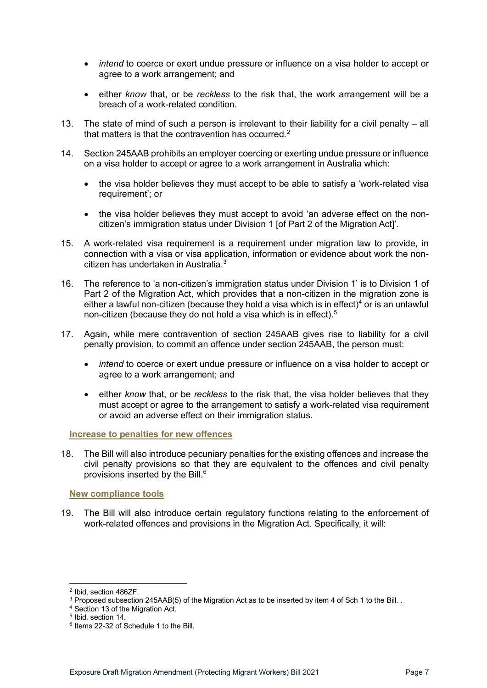- *intend* to coerce or exert undue pressure or influence on a visa holder to accept or agree to a work arrangement; and
- either *know* that, or be *reckless* to the risk that, the work arrangement will be a breach of a work-related condition.
- 13. The state of mind of such a person is irrelevant to their liability for a civil penalty all that matters is that the contravention has occurred.<sup>[2](#page-6-2)</sup>
- 14. Section 245AAB prohibits an employer coercing or exerting undue pressure or influence on a visa holder to accept or agree to a work arrangement in Australia which:
	- the visa holder believes they must accept to be able to satisfy a 'work-related visa requirement'; or
	- the visa holder believes they must accept to avoid 'an adverse effect on the noncitizen's immigration status under Division 1 [of Part 2 of the Migration Act]'.
- 15. A work-related visa requirement is a requirement under migration law to provide, in connection with a visa or visa application, information or evidence about work the noncitizen has undertaken in Australia. [3](#page-6-3)
- 16. The reference to 'a non-citizen's immigration status under Division 1' is to Division 1 of Part 2 of the Migration Act, which provides that a non-citizen in the migration zone is either a lawful non-citizen (because they hold a visa which is in effect)<sup>[4](#page-6-4)</sup> or is an unlawful non-citizen (because they do not hold a visa which is in effect).<sup>[5](#page-6-5)</sup>
- 17. Again, while mere contravention of section 245AAB gives rise to liability for a civil penalty provision, to commit an offence under section 245AAB, the person must:
	- *intend* to coerce or exert undue pressure or influence on a visa holder to accept or agree to a work arrangement; and
	- either *know* that, or be *reckless* to the risk that, the visa holder believes that they must accept or agree to the arrangement to satisfy a work-related visa requirement or avoid an adverse effect on their immigration status.

<span id="page-6-0"></span>**Increase to penalties for new offences**

18. The Bill will also introduce pecuniary penalties for the existing offences and increase the civil penalty provisions so that they are equivalent to the offences and civil penalty provisions inserted by the Bill.[6](#page-6-6)

#### <span id="page-6-1"></span>**New compliance tools**

19. The Bill will also introduce certain regulatory functions relating to the enforcement of work-related offences and provisions in the Migration Act. Specifically, it will:

<span id="page-6-2"></span><sup>2</sup> Ibid, section 486ZF.

<span id="page-6-3"></span><sup>&</sup>lt;sup>3</sup> Proposed subsection 245AAB(5) of the Migration Act as to be inserted by item 4 of Sch 1 to the Bill. .

<sup>4</sup> Section 13 of the Migration Act.

<span id="page-6-5"></span><span id="page-6-4"></span><sup>5</sup> Ibid, section 14.

<span id="page-6-6"></span><sup>6</sup> Items 22-32 of Schedule 1 to the Bill.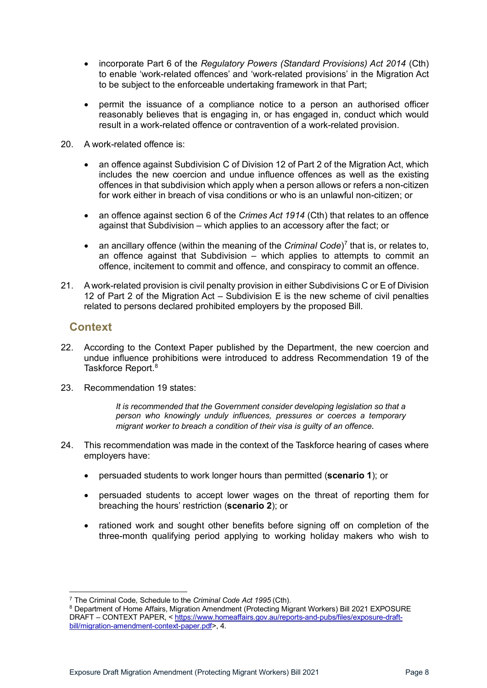- incorporate Part 6 of the *Regulatory Powers (Standard Provisions) Act 2014* (Cth) to enable 'work-related offences' and 'work-related provisions' in the Migration Act to be subject to the enforceable undertaking framework in that Part;
- permit the issuance of a compliance notice to a person an authorised officer reasonably believes that is engaging in, or has engaged in, conduct which would result in a work-related offence or contravention of a work-related provision.
- 20. A work-related offence is:
	- an offence against Subdivision C of Division 12 of Part 2 of the Migration Act, which includes the new coercion and undue influence offences as well as the existing offences in that subdivision which apply when a person allows or refers a non-citizen for work either in breach of visa conditions or who is an unlawful non-citizen; or
	- an offence against section 6 of the *Crimes Act 1914* (Cth) that relates to an offence against that Subdivision – which applies to an accessory after the fact; or
	- an ancillary offence (within the meaning of the *Criminal Code*) [7](#page-7-1) that is, or relates to, an offence against that Subdivision – which applies to attempts to commit an offence, incitement to commit and offence, and conspiracy to commit an offence.
- 21. A work-related provision is civil penalty provision in either Subdivisions C or E of Division 12 of Part 2 of the Migration Act – Subdivision E is the new scheme of civil penalties related to persons declared prohibited employers by the proposed Bill.

# <span id="page-7-0"></span>**Context**

- 22. According to the Context Paper published by the Department, the new coercion and undue influence prohibitions were introduced to address Recommendation 19 of the Taskforce Report. [8](#page-7-2)
- 23. Recommendation 19 states:

*It is recommended that the Government consider developing legislation so that a person who knowingly unduly influences, pressures or coerces a temporary migrant worker to breach a condition of their visa is guilty of an offence*.

- 24. This recommendation was made in the context of the Taskforce hearing of cases where employers have:
	- persuaded students to work longer hours than permitted (**scenario 1**); or
	- persuaded students to accept lower wages on the threat of reporting them for breaching the hours' restriction (**scenario 2**); or
	- rationed work and sought other benefits before signing off on completion of the three-month qualifying period applying to working holiday makers who wish to

<sup>7</sup> The Criminal Code, Schedule to the *Criminal Code Act 1995* (Cth).

<span id="page-7-2"></span><span id="page-7-1"></span><sup>8</sup> Department of Home Affairs, Migration Amendment (Protecting Migrant Workers) Bill 2021 EXPOSURE DRAFT – CONTEXT PAPER, < [https://www.homeaffairs.gov.au/reports-and-pubs/files/exposure-draft](https://www.homeaffairs.gov.au/reports-and-pubs/files/exposure-draft-bill/migration-amendment-context-paper.pdf)[bill/migration-amendment-context-paper.pdf>](https://www.homeaffairs.gov.au/reports-and-pubs/files/exposure-draft-bill/migration-amendment-context-paper.pdf), 4.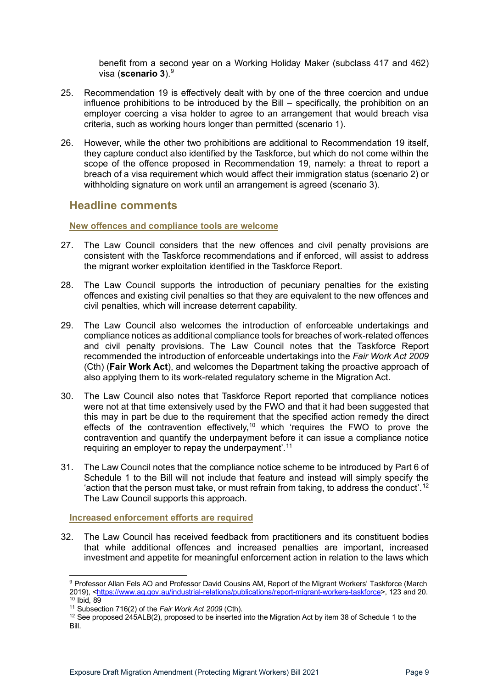benefit from a second year on a Working Holiday Maker (subclass 417 and 462) visa (**scenario 3**). [9](#page-8-3)

- 25. Recommendation 19 is effectively dealt with by one of the three coercion and undue influence prohibitions to be introduced by the Bill – specifically, the prohibition on an employer coercing a visa holder to agree to an arrangement that would breach visa criteria, such as working hours longer than permitted (scenario 1).
- 26. However, while the other two prohibitions are additional to Recommendation 19 itself, they capture conduct also identified by the Taskforce, but which do not come within the scope of the offence proposed in Recommendation 19, namely: a threat to report a breach of a visa requirement which would affect their immigration status (scenario 2) or withholding signature on work until an arrangement is agreed (scenario 3).

### <span id="page-8-0"></span>**Headline comments**

#### <span id="page-8-1"></span>**New offences and compliance tools are welcome**

- 27. The Law Council considers that the new offences and civil penalty provisions are consistent with the Taskforce recommendations and if enforced, will assist to address the migrant worker exploitation identified in the Taskforce Report.
- 28. The Law Council supports the introduction of pecuniary penalties for the existing offences and existing civil penalties so that they are equivalent to the new offences and civil penalties, which will increase deterrent capability.
- 29. The Law Council also welcomes the introduction of enforceable undertakings and compliance notices as additional compliance tools for breaches of work-related offences and civil penalty provisions. The Law Council notes that the Taskforce Report recommended the introduction of enforceable undertakings into the *Fair Work Act 2009* (Cth) (**Fair Work Act**), and welcomes the Department taking the proactive approach of also applying them to its work-related regulatory scheme in the Migration Act.
- 30. The Law Council also notes that Taskforce Report reported that compliance notices were not at that time extensively used by the FWO and that it had been suggested that this may in part be due to the requirement that the specified action remedy the direct effects of the contravention effectively,<sup>[10](#page-8-4)</sup> which 'requires the FWO to prove the contravention and quantify the underpayment before it can issue a compliance notice requiring an employer to repay the underpayment<sup>'.[11](#page-8-5)</sup>
- 31. The Law Council notes that the compliance notice scheme to be introduced by Part 6 of Schedule 1 to the Bill will not include that feature and instead will simply specify the 'action that the person must take, or must refrain from taking, to address the conduct'.[12](#page-8-6) The Law Council supports this approach.

<span id="page-8-2"></span>**Increased enforcement efforts are required**

32. The Law Council has received feedback from practitioners and its constituent bodies that while additional offences and increased penalties are important, increased investment and appetite for meaningful enforcement action in relation to the laws which

<span id="page-8-3"></span><sup>&</sup>lt;sup>9</sup> Professor Allan Fels AO and Professor David Cousins AM, Report of the Migrant Workers' Taskforce (March 2019), <<u>https://www.ag.gov.au/industrial-relations/publications/report-migrant-workers-taskforce</u>>, 123 and 20.<br><sup>10</sup> Ibid, 89<br><sup>11</sup> Subsection 716(2) of the *Fair Work Act 2009* (Cth).

<span id="page-8-4"></span>

<span id="page-8-6"></span><span id="page-8-5"></span><sup>&</sup>lt;sup>12</sup> See proposed 245ALB(2), proposed to be inserted into the Migration Act by item 38 of Schedule 1 to the Bill.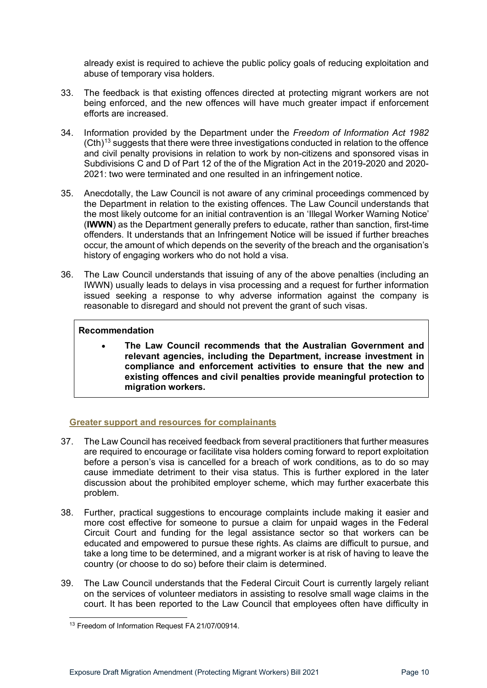already exist is required to achieve the public policy goals of reducing exploitation and abuse of temporary visa holders.

- 33. The feedback is that existing offences directed at protecting migrant workers are not being enforced, and the new offences will have much greater impact if enforcement efforts are increased.
- 34. Information provided by the Department under the *Freedom of Information Act 1982*   $(Cth)^{13}$  $(Cth)^{13}$  $(Cth)^{13}$  suggests that there were three investigations conducted in relation to the offence and civil penalty provisions in relation to work by non-citizens and sponsored visas in Subdivisions C and D of Part 12 of the of the Migration Act in the 2019-2020 and 2020- 2021: two were terminated and one resulted in an infringement notice.
- 35. Anecdotally, the Law Council is not aware of any criminal proceedings commenced by the Department in relation to the existing offences. The Law Council understands that the most likely outcome for an initial contravention is an 'Illegal Worker Warning Notice' (**IWWN**) as the Department generally prefers to educate, rather than sanction, first-time offenders. It understands that an Infringement Notice will be issued if further breaches occur, the amount of which depends on the severity of the breach and the organisation's history of engaging workers who do not hold a visa.
- 36. The Law Council understands that issuing of any of the above penalties (including an IWWN) usually leads to delays in visa processing and a request for further information issued seeking a response to why adverse information against the company is reasonable to disregard and should not prevent the grant of such visas.

#### **Recommendation**

• **The Law Council recommends that the Australian Government and relevant agencies, including the Department, increase investment in compliance and enforcement activities to ensure that the new and existing offences and civil penalties provide meaningful protection to migration workers.**

#### <span id="page-9-0"></span>**Greater support and resources for complainants**

- 37. The Law Council has received feedback from several practitioners that further measures are required to encourage or facilitate visa holders coming forward to report exploitation before a person's visa is cancelled for a breach of work conditions, as to do so may cause immediate detriment to their visa status. This is further explored in the later discussion about the prohibited employer scheme, which may further exacerbate this problem.
- 38. Further, practical suggestions to encourage complaints include making it easier and more cost effective for someone to pursue a claim for unpaid wages in the Federal Circuit Court and funding for the legal assistance sector so that workers can be educated and empowered to pursue these rights. As claims are difficult to pursue, and take a long time to be determined, and a migrant worker is at risk of having to leave the country (or choose to do so) before their claim is determined.
- 39. The Law Council understands that the Federal Circuit Court is currently largely reliant on the services of volunteer mediators in assisting to resolve small wage claims in the court. It has been reported to the Law Council that employees often have difficulty in

<span id="page-9-1"></span><sup>&</sup>lt;sup>13</sup> Freedom of Information Request FA 21/07/00914.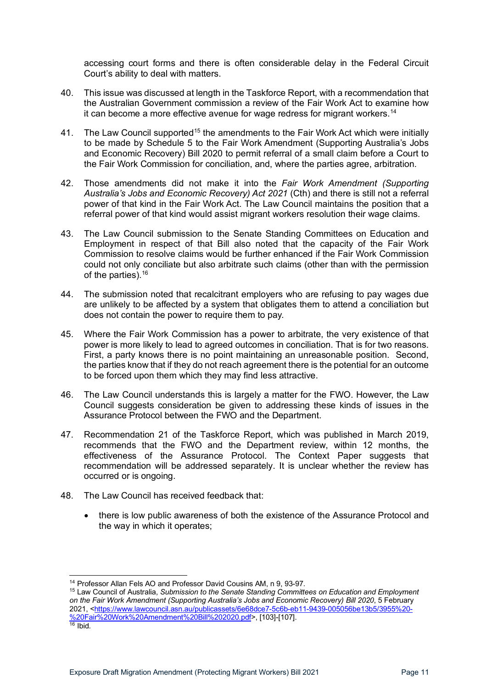accessing court forms and there is often considerable delay in the Federal Circuit Court's ability to deal with matters.

- 40. This issue was discussed at length in the Taskforce Report, with a recommendation that the Australian Government commission a review of the Fair Work Act to examine how it can become a more effective avenue for wage redress for migrant workers.[14](#page-10-0)
- 41. The Law Council supported<sup>15</sup> the amendments to the Fair Work Act which were initially to be made by Schedule 5 to the Fair Work Amendment (Supporting Australia's Jobs and Economic Recovery) Bill 2020 to permit referral of a small claim before a Court to the Fair Work Commission for conciliation, and, where the parties agree, arbitration.
- 42. Those amendments did not make it into the *Fair Work Amendment (Supporting Australia's Jobs and Economic Recovery) Act 2021* (Cth) and there is still not a referral power of that kind in the Fair Work Act. The Law Council maintains the position that a referral power of that kind would assist migrant workers resolution their wage claims.
- 43. The Law Council submission to the Senate Standing Committees on Education and Employment in respect of that Bill also noted that the capacity of the Fair Work Commission to resolve claims would be further enhanced if the Fair Work Commission could not only conciliate but also arbitrate such claims (other than with the permission of the parties).[16](#page-10-2)
- 44. The submission noted that recalcitrant employers who are refusing to pay wages due are unlikely to be affected by a system that obligates them to attend a conciliation but does not contain the power to require them to pay.
- 45. Where the Fair Work Commission has a power to arbitrate, the very existence of that power is more likely to lead to agreed outcomes in conciliation. That is for two reasons. First, a party knows there is no point maintaining an unreasonable position. Second, the parties know that if they do not reach agreement there is the potential for an outcome to be forced upon them which they may find less attractive.
- 46. The Law Council understands this is largely a matter for the FWO. However, the Law Council suggests consideration be given to addressing these kinds of issues in the Assurance Protocol between the FWO and the Department.
- 47. Recommendation 21 of the Taskforce Report, which was published in March 2019, recommends that the FWO and the Department review, within 12 months, the effectiveness of the Assurance Protocol. The Context Paper suggests that recommendation will be addressed separately. It is unclear whether the review has occurred or is ongoing.
- 48. The Law Council has received feedback that:
	- there is low public awareness of both the existence of the Assurance Protocol and the way in which it operates;

<sup>14</sup> Professor Allan Fels AO and Professor David Cousins AM, n 9, 93-97.

<span id="page-10-2"></span><span id="page-10-1"></span><span id="page-10-0"></span><sup>15</sup> Law Council of Australia, *Submission to the Senate Standing Committees on Education and Employment on the Fair Work Amendment (Supporting Australia's Jobs and Economic Recovery) Bill 2020*, 5 February 2021, [<https://www.lawcouncil.asn.au/publicassets/6e68dce7-5c6b-eb11-9439-005056be13b5/3955%20-](https://www.lawcouncil.asn.au/publicassets/6e68dce7-5c6b-eb11-9439-005056be13b5/3955%20-%20Fair%20Work%20Amendment%20Bill%202020.pdf) [%20Fair%20Work%20Amendment%20Bill%202020.pdf>](https://www.lawcouncil.asn.au/publicassets/6e68dce7-5c6b-eb11-9439-005056be13b5/3955%20-%20Fair%20Work%20Amendment%20Bill%202020.pdf), [103]-[107]. 16 Ibid.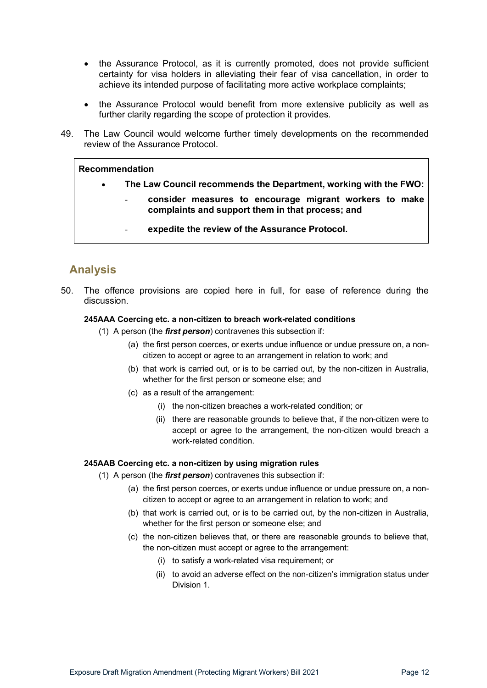- the Assurance Protocol, as it is currently promoted, does not provide sufficient certainty for visa holders in alleviating their fear of visa cancellation, in order to achieve its intended purpose of facilitating more active workplace complaints;
- the Assurance Protocol would benefit from more extensive publicity as well as further clarity regarding the scope of protection it provides.
- 49. The Law Council would welcome further timely developments on the recommended review of the Assurance Protocol.

#### **Recommendation**

- **The Law Council recommends the Department, working with the FWO:**
	- **consider measures to encourage migrant workers to make complaints and support them in that process; and**
		- expedite the review of the Assurance Protocol.

# <span id="page-11-0"></span>**Analysis**

50. The offence provisions are copied here in full, for ease of reference during the discussion.

#### **245AAA Coercing etc. a non-citizen to breach work-related conditions**

- (1) A person (the *first person*) contravenes this subsection if:
	- (a) the first person coerces, or exerts undue influence or undue pressure on, a noncitizen to accept or agree to an arrangement in relation to work; and
	- (b) that work is carried out, or is to be carried out, by the non-citizen in Australia, whether for the first person or someone else; and
	- (c) as a result of the arrangement:
		- (i) the non-citizen breaches a work-related condition; or
		- (ii) there are reasonable grounds to believe that, if the non-citizen were to accept or agree to the arrangement, the non-citizen would breach a work-related condition.

#### **245AAB Coercing etc. a non-citizen by using migration rules**

- (1) A person (the *first person*) contravenes this subsection if:
	- (a) the first person coerces, or exerts undue influence or undue pressure on, a noncitizen to accept or agree to an arrangement in relation to work; and
	- (b) that work is carried out, or is to be carried out, by the non-citizen in Australia, whether for the first person or someone else; and
	- (c) the non-citizen believes that, or there are reasonable grounds to believe that, the non-citizen must accept or agree to the arrangement:
		- (i) to satisfy a work-related visa requirement; or
		- (ii) to avoid an adverse effect on the non-citizen's immigration status under Division 1.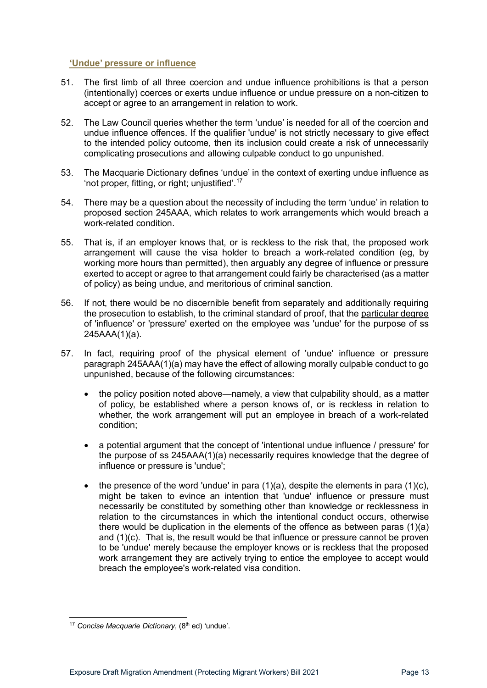#### <span id="page-12-0"></span>**'Undue' pressure or influence**

- 51. The first limb of all three coercion and undue influence prohibitions is that a person (intentionally) coerces or exerts undue influence or undue pressure on a non-citizen to accept or agree to an arrangement in relation to work.
- 52. The Law Council queries whether the term 'undue' is needed for all of the coercion and undue influence offences. If the qualifier 'undue' is not strictly necessary to give effect to the intended policy outcome, then its inclusion could create a risk of unnecessarily complicating prosecutions and allowing culpable conduct to go unpunished.
- 53. The Macquarie Dictionary defines 'undue' in the context of exerting undue influence as 'not proper, fitting, or right; unjustified'.[17](#page-12-1)
- 54. There may be a question about the necessity of including the term 'undue' in relation to proposed section 245AAA, which relates to work arrangements which would breach a work-related condition.
- 55. That is, if an employer knows that, or is reckless to the risk that, the proposed work arrangement will cause the visa holder to breach a work-related condition (eg, by working more hours than permitted), then arguably any degree of influence or pressure exerted to accept or agree to that arrangement could fairly be characterised (as a matter of policy) as being undue, and meritorious of criminal sanction.
- 56. If not, there would be no discernible benefit from separately and additionally requiring the prosecution to establish, to the criminal standard of proof, that the particular degree of 'influence' or 'pressure' exerted on the employee was 'undue' for the purpose of ss 245AAA(1)(a).
- 57. In fact, requiring proof of the physical element of 'undue' influence or pressure paragraph 245AAA(1)(a) may have the effect of allowing morally culpable conduct to go unpunished, because of the following circumstances:
	- the policy position noted above—namely, a view that culpability should, as a matter of policy, be established where a person knows of, or is reckless in relation to whether, the work arrangement will put an employee in breach of a work-related condition;
	- a potential argument that the concept of 'intentional undue influence / pressure' for the purpose of ss 245AAA(1)(a) necessarily requires knowledge that the degree of influence or pressure is 'undue';
	- the presence of the word 'undue' in para  $(1)(a)$ , despite the elements in para  $(1)(c)$ , might be taken to evince an intention that 'undue' influence or pressure must necessarily be constituted by something other than knowledge or recklessness in relation to the circumstances in which the intentional conduct occurs, otherwise there would be duplication in the elements of the offence as between paras (1)(a) and (1)(c). That is, the result would be that influence or pressure cannot be proven to be 'undue' merely because the employer knows or is reckless that the proposed work arrangement they are actively trying to entice the employee to accept would breach the employee's work-related visa condition.

<span id="page-12-1"></span><sup>&</sup>lt;sup>17</sup> Concise Macquarie Dictionary, (8<sup>th</sup> ed) 'undue'.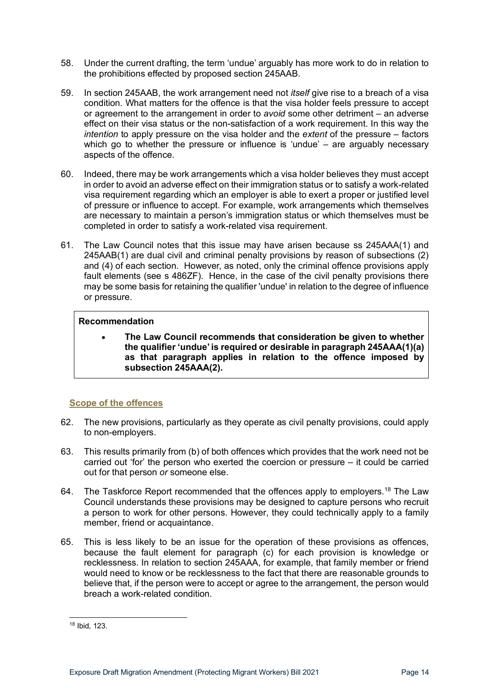- 58. Under the current drafting, the term 'undue' arguably has more work to do in relation to the prohibitions effected by proposed section 245AAB.
- 59. In section 245AAB, the work arrangement need not *itself* give rise to a breach of a visa condition. What matters for the offence is that the visa holder feels pressure to accept or agreement to the arrangement in order to *avoid* some other detriment – an adverse effect on their visa status or the non-satisfaction of a work requirement. In this way the *intention* to apply pressure on the visa holder and the *extent* of the pressure – factors which go to whether the pressure or influence is 'undue' – are arguably necessary aspects of the offence.
- 60. Indeed, there may be work arrangements which a visa holder believes they must accept in order to avoid an adverse effect on their immigration status or to satisfy a work-related visa requirement regarding which an employer is able to exert a proper or justified level of pressure or influence to accept. For example, work arrangements which themselves are necessary to maintain a person's immigration status or which themselves must be completed in order to satisfy a work-related visa requirement.
- 61. The Law Council notes that this issue may have arisen because ss 245AAA(1) and 245AAB(1) are dual civil and criminal penalty provisions by reason of subsections (2) and (4) of each section. However, as noted, only the criminal offence provisions apply fault elements (see s 486ZF). Hence, in the case of the civil penalty provisions there may be some basis for retaining the qualifier 'undue' in relation to the degree of influence or pressure.

#### **Recommendation**

• **The Law Council recommends that consideration be given to whether the qualifier 'undue' is required or desirable in paragraph 245AAA(1)(a) as that paragraph applies in relation to the offence imposed by subsection 245AAA(2).** 

#### <span id="page-13-0"></span>**Scope of the offences**

- 62. The new provisions, particularly as they operate as civil penalty provisions, could apply to non-employers.
- 63. This results primarily from (b) of both offences which provides that the work need not be carried out 'for' the person who exerted the coercion or pressure – it could be carried out for that person *or* someone else.
- 64. The Taskforce Report recommended that the offences apply to employers.<sup>[18](#page-13-1)</sup> The Law Council understands these provisions may be designed to capture persons who recruit a person to work for other persons. However, they could technically apply to a family member, friend or acquaintance.
- 65. This is less likely to be an issue for the operation of these provisions as offences, because the fault element for paragraph (c) for each provision is knowledge or recklessness. In relation to section 245AAA, for example, that family member or friend would need to know or be recklessness to the fact that there are reasonable grounds to believe that, if the person were to accept or agree to the arrangement, the person would breach a work-related condition.

<span id="page-13-1"></span><sup>18</sup> Ibid, 123.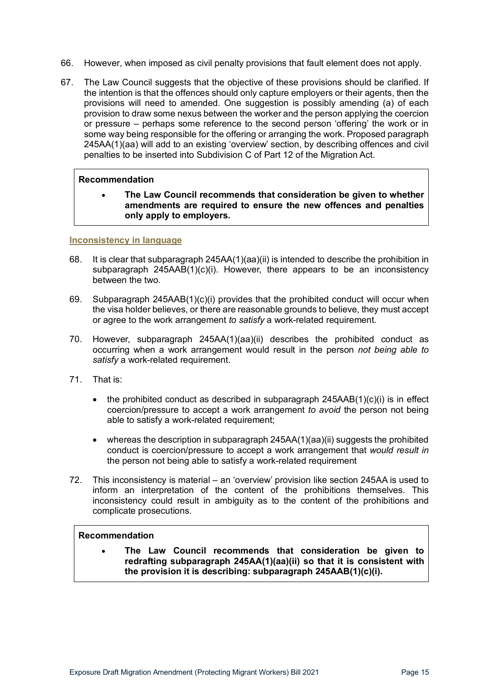- 66. However, when imposed as civil penalty provisions that fault element does not apply.
- 67. The Law Council suggests that the objective of these provisions should be clarified. If the intention is that the offences should only capture employers or their agents, then the provisions will need to amended. One suggestion is possibly amending (a) of each provision to draw some nexus between the worker and the person applying the coercion or pressure – perhaps some reference to the second person 'offering' the work or in some way being responsible for the offering or arranging the work. Proposed paragraph 245AA(1)(aa) will add to an existing 'overview' section, by describing offences and civil penalties to be inserted into Subdivision C of Part 12 of the Migration Act.

#### **Recommendation**

• **The Law Council recommends that consideration be given to whether amendments are required to ensure the new offences and penalties only apply to employers.** 

#### <span id="page-14-0"></span>**Inconsistency in language**

- 68. It is clear that subparagraph 245AA(1)(aa)(ii) is intended to describe the prohibition in subparagraph 245AAB(1)(c)(i). However, there appears to be an inconsistency between the two.
- 69. Subparagraph 245AAB(1)(c)(i) provides that the prohibited conduct will occur when the visa holder believes, or there are reasonable grounds to believe, they must accept or agree to the work arrangement *to satisfy* a work-related requirement.
- 70. However, subparagraph 245AA(1)(aa)(ii) describes the prohibited conduct as occurring when a work arrangement would result in the person *not being able to satisfy* a work-related requirement.
- 71. That is:
	- the prohibited conduct as described in subparagraph  $245AAB(1)(c)(i)$  is in effect coercion/pressure to accept a work arrangement *to avoid* the person not being able to satisfy a work-related requirement;
	- whereas the description in subparagraph 245AA(1)(aa)(ii) suggests the prohibited conduct is coercion/pressure to accept a work arrangement that *would result in* the person not being able to satisfy a work-related requirement
- 72. This inconsistency is material an 'overview' provision like section 245AA is used to inform an interpretation of the content of the prohibitions themselves. This inconsistency could result in ambiguity as to the content of the prohibitions and complicate prosecutions.

#### **Recommendation**

• **The Law Council recommends that consideration be given to redrafting subparagraph 245AA(1)(aa)(ii) so that it is consistent with the provision it is describing: subparagraph 245AAB(1)(c)(i).**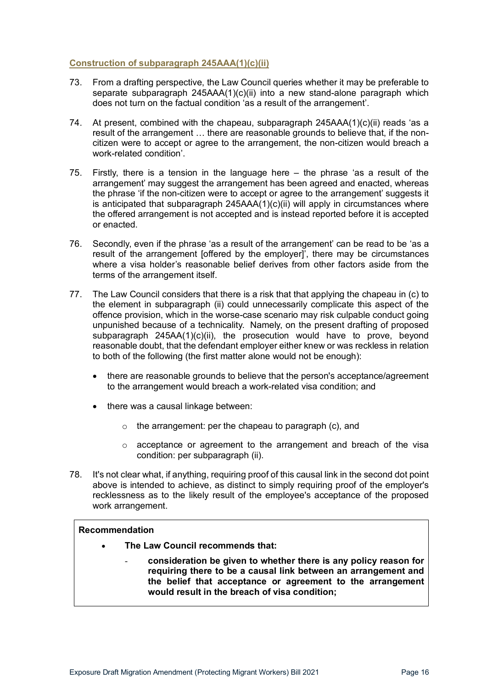#### <span id="page-15-0"></span>**Construction of subparagraph 245AAA(1)(c)(ii)**

- 73. From a drafting perspective, the Law Council queries whether it may be preferable to separate subparagraph 245AAA(1)(c)(ii) into a new stand-alone paragraph which does not turn on the factual condition 'as a result of the arrangement'.
- 74. At present, combined with the chapeau, subparagraph 245AAA(1)(c)(ii) reads 'as a result of the arrangement … there are reasonable grounds to believe that, if the noncitizen were to accept or agree to the arrangement, the non-citizen would breach a work-related condition'.
- 75. Firstly, there is a tension in the language here the phrase 'as a result of the arrangement' may suggest the arrangement has been agreed and enacted, whereas the phrase 'if the non-citizen were to accept or agree to the arrangement' suggests it is anticipated that subparagraph  $245AAA(1)(c)(ii)$  will apply in circumstances where the offered arrangement is not accepted and is instead reported before it is accepted or enacted.
- 76. Secondly, even if the phrase 'as a result of the arrangement' can be read to be 'as a result of the arrangement [offered by the employer]', there may be circumstances where a visa holder's reasonable belief derives from other factors aside from the terms of the arrangement itself.
- 77. The Law Council considers that there is a risk that that applying the chapeau in (c) to the element in subparagraph (ii) could unnecessarily complicate this aspect of the offence provision, which in the worse-case scenario may risk culpable conduct going unpunished because of a technicality. Namely, on the present drafting of proposed subparagraph 245AA(1)(c)(ii), the prosecution would have to prove, beyond reasonable doubt, that the defendant employer either knew or was reckless in relation to both of the following (the first matter alone would not be enough):
	- there are reasonable grounds to believe that the person's acceptance/agreement to the arrangement would breach a work-related visa condition; and
	- there was a causal linkage between:
		- o the arrangement: per the chapeau to paragraph (c), and
		- $\circ$  acceptance or agreement to the arrangement and breach of the visa condition: per subparagraph (ii).
- 78. It's not clear what, if anything, requiring proof of this causal link in the second dot point above is intended to achieve, as distinct to simply requiring proof of the employer's recklessness as to the likely result of the employee's acceptance of the proposed work arrangement.

#### **Recommendation**

- **The Law Council recommends that:**
	- **consideration be given to whether there is any policy reason for requiring there to be a causal link between an arrangement and the belief that acceptance or agreement to the arrangement would result in the breach of visa condition;**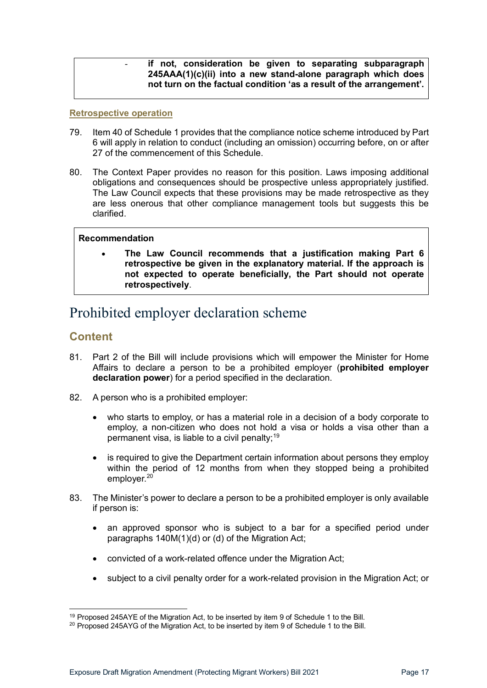#### - **if not, consideration be given to separating subparagraph 245AAA(1)(c)(ii) into a new stand-alone paragraph which does not turn on the factual condition 'as a result of the arrangement'.**

#### <span id="page-16-0"></span>**Retrospective operation**

- 79. Item 40 of Schedule 1 provides that the compliance notice scheme introduced by Part 6 will apply in relation to conduct (including an omission) occurring before, on or after 27 of the commencement of this Schedule.
- 80. The Context Paper provides no reason for this position. Laws imposing additional obligations and consequences should be prospective unless appropriately justified. The Law Council expects that these provisions may be made retrospective as they are less onerous that other compliance management tools but suggests this be clarified.

#### **Recommendation**

• **The Law Council recommends that a justification making Part 6 retrospective be given in the explanatory material. If the approach is not expected to operate beneficially, the Part should not operate retrospectively**.

# <span id="page-16-1"></span>Prohibited employer declaration scheme

### <span id="page-16-2"></span>**Content**

- 81. Part 2 of the Bill will include provisions which will empower the Minister for Home Affairs to declare a person to be a prohibited employer (**prohibited employer declaration power**) for a period specified in the declaration.
- 82. A person who is a prohibited employer:
	- who starts to employ, or has a material role in a decision of a body corporate to employ, a non-citizen who does not hold a visa or holds a visa other than a permanent visa, is liable to a civil penalty;  $19$
	- is required to give the Department certain information about persons they employ within the period of 12 months from when they stopped being a prohibited employer.<sup>[20](#page-16-4)</sup>
- 83. The Minister's power to declare a person to be a prohibited employer is only available if person is:
	- an approved sponsor who is subject to a bar for a specified period under paragraphs 140M(1)(d) or (d) of the Migration Act;
	- convicted of a work-related offence under the Migration Act;
	- subject to a civil penalty order for a work-related provision in the Migration Act; or

<span id="page-16-3"></span><sup>&</sup>lt;sup>19</sup> Proposed 245AYE of the Migration Act, to be inserted by item 9 of Schedule 1 to the Bill.

<span id="page-16-4"></span> $20$  Proposed 245AYG of the Migration Act, to be inserted by item 9 of Schedule 1 to the Bill.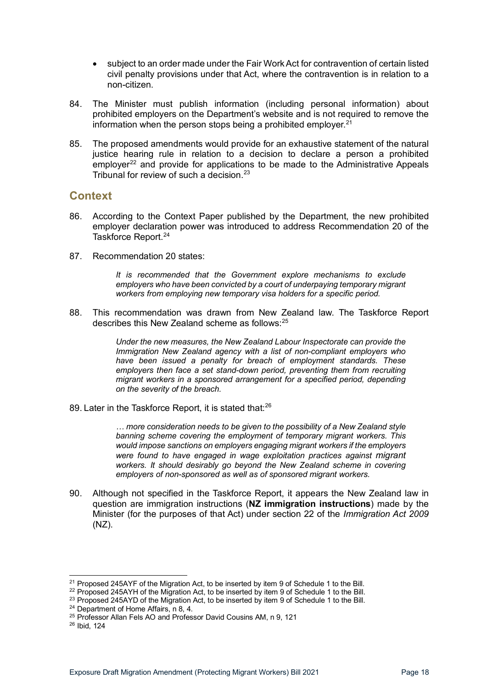- subject to an order made under the Fair Work Act for contravention of certain listed civil penalty provisions under that Act, where the contravention is in relation to a non-citizen.
- 84. The Minister must publish information (including personal information) about prohibited employers on the Department's website and is not required to remove the information when the person stops being a prohibited employer. $21$
- 85. The proposed amendments would provide for an exhaustive statement of the natural justice hearing rule in relation to a decision to declare a person a prohibited employer<sup>[22](#page-17-2)</sup> and provide for applications to be made to the Administrative Appeals Tribunal for review of such a decision.<sup>[23](#page-17-3)</sup>

### <span id="page-17-0"></span>**Context**

- 86. According to the Context Paper published by the Department, the new prohibited employer declaration power was introduced to address Recommendation 20 of the Taskforce Report.<sup>[24](#page-17-4)</sup>
- 87. Recommendation 20 states:

*It is recommended that the Government explore mechanisms to exclude employers who have been convicted by a court of underpaying temporary migrant workers from employing new temporary visa holders for a specific period.* 

88. This recommendation was drawn from New Zealand law. The Taskforce Report describes this New Zealand scheme as follows:<sup>[25](#page-17-5)</sup>

> *Under the new measures, the New Zealand Labour Inspectorate can provide the Immigration New Zealand agency with a list of non-compliant employers who have been issued a penalty for breach of employment standards. These employers then face a set stand-down period, preventing them from recruiting migrant workers in a sponsored arrangement for a specified period, depending on the severity of the breach.*

89. Later in the Taskforce Report, it is stated that:<sup>[26](#page-17-6)</sup>

*… more consideration needs to be given to the possibility of a New Zealand style banning scheme covering the employment of temporary migrant workers. This would impose sanctions on employers engaging migrant workers if the employers were found to have engaged in wage exploitation practices against migrant workers. It should desirably go beyond the New Zealand scheme in covering employers of non-sponsored as well as of sponsored migrant workers.*

90. Although not specified in the Taskforce Report, it appears the New Zealand law in question are immigration instructions (**NZ immigration instructions**) made by the Minister (for the purposes of that Act) under section 22 of the *Immigration Act 2009*  (NZ).

 $21$  Proposed 245AYF of the Migration Act, to be inserted by item 9 of Schedule 1 to the Bill.

<span id="page-17-1"></span><sup>&</sup>lt;sup>22</sup> Proposed 245AYH of the Migration Act, to be inserted by item 9 of Schedule 1 to the Bill.

<span id="page-17-4"></span><span id="page-17-3"></span><span id="page-17-2"></span><sup>&</sup>lt;sup>23</sup> Proposed 245AYD of the Migration Act, to be inserted by item 9 of Schedule 1 to the Bill.<br><sup>24</sup> Department of Home Affairs, n 8, 4.

<sup>&</sup>lt;sup>25</sup> Professor Allan Fels AO and Professor David Cousins AM, n 9, 121

<span id="page-17-6"></span><span id="page-17-5"></span><sup>26</sup> Ibid, 124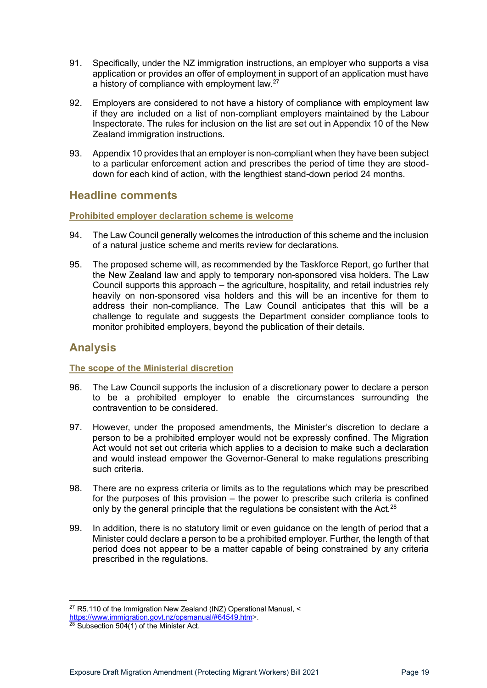- 91. Specifically, under the NZ immigration instructions, an employer who supports a visa application or provides an offer of employment in support of an application must have a history of compliance with employment law.<sup>[27](#page-18-4)</sup>
- 92. Employers are considered to not have a history of compliance with employment law if they are included on a list of non-compliant employers maintained by the Labour Inspectorate. The rules for inclusion on the list are set out in Appendix 10 of the New Zealand immigration instructions.
- 93. Appendix 10 provides that an employer is non-compliant when they have been subject to a particular enforcement action and prescribes the period of time they are stooddown for each kind of action, with the lengthiest stand-down period 24 months.

### <span id="page-18-0"></span>**Headline comments**

#### <span id="page-18-1"></span>**Prohibited employer declaration scheme is welcome**

- 94. The Law Council generally welcomes the introduction of this scheme and the inclusion of a natural justice scheme and merits review for declarations.
- 95. The proposed scheme will, as recommended by the Taskforce Report, go further that the New Zealand law and apply to temporary non-sponsored visa holders. The Law Council supports this approach – the agriculture, hospitality, and retail industries rely heavily on non-sponsored visa holders and this will be an incentive for them to address their non-compliance. The Law Council anticipates that this will be a challenge to regulate and suggests the Department consider compliance tools to monitor prohibited employers, beyond the publication of their details.

# <span id="page-18-2"></span>**Analysis**

#### <span id="page-18-3"></span>**The scope of the Ministerial discretion**

- 96. The Law Council supports the inclusion of a discretionary power to declare a person to be a prohibited employer to enable the circumstances surrounding the contravention to be considered.
- 97. However, under the proposed amendments, the Minister's discretion to declare a person to be a prohibited employer would not be expressly confined. The Migration Act would not set out criteria which applies to a decision to make such a declaration and would instead empower the Governor-General to make regulations prescribing such criteria.
- 98. There are no express criteria or limits as to the regulations which may be prescribed for the purposes of this provision – the power to prescribe such criteria is confined only by the general principle that the regulations be consistent with the Act. $^{28}$
- 99. In addition, there is no statutory limit or even guidance on the length of period that a Minister could declare a person to be a prohibited employer. Further, the length of that period does not appear to be a matter capable of being constrained by any criteria prescribed in the regulations.

 $27$  R5.110 of the Immigration New Zealand (INZ) Operational Manual,  $\leq$ 

<span id="page-18-4"></span>[https://www.immigration.govt.nz/opsmanual/#64549.htm>](https://www.immigration.govt.nz/opsmanual/#64549.htm).

<span id="page-18-5"></span> $28$  Subsection 504(1) of the Minister Act.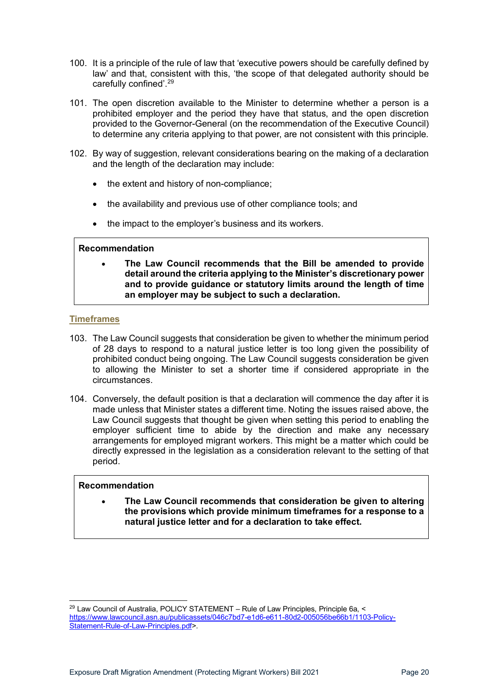- 100. It is a principle of the rule of law that 'executive powers should be carefully defined by law' and that, consistent with this, 'the scope of that delegated authority should be carefully confined'. [29](#page-19-1)
- 101. The open discretion available to the Minister to determine whether a person is a prohibited employer and the period they have that status, and the open discretion provided to the Governor-General (on the recommendation of the Executive Council) to determine any criteria applying to that power, are not consistent with this principle.
- 102. By way of suggestion, relevant considerations bearing on the making of a declaration and the length of the declaration may include:
	- the extent and history of non-compliance;
	- the availability and previous use of other compliance tools; and
	- the impact to the employer's business and its workers.

#### **Recommendation**

• **The Law Council recommends that the Bill be amended to provide detail around the criteria applying to the Minister's discretionary power and to provide guidance or statutory limits around the length of time an employer may be subject to such a declaration.**

#### <span id="page-19-0"></span>**Timeframes**

- 103. The Law Council suggests that consideration be given to whether the minimum period of 28 days to respond to a natural justice letter is too long given the possibility of prohibited conduct being ongoing. The Law Council suggests consideration be given to allowing the Minister to set a shorter time if considered appropriate in the circumstances.
- 104. Conversely, the default position is that a declaration will commence the day after it is made unless that Minister states a different time. Noting the issues raised above, the Law Council suggests that thought be given when setting this period to enabling the employer sufficient time to abide by the direction and make any necessary arrangements for employed migrant workers. This might be a matter which could be directly expressed in the legislation as a consideration relevant to the setting of that period.

#### **Recommendation**

• **The Law Council recommends that consideration be given to altering the provisions which provide minimum timeframes for a response to a natural justice letter and for a declaration to take effect.**

<span id="page-19-1"></span><sup>&</sup>lt;sup>29</sup> Law Council of Australia, POLICY STATEMENT - Rule of Law Principles, Principle 6a, < [https://www.lawcouncil.asn.au/publicassets/046c7bd7-e1d6-e611-80d2-005056be66b1/1103-Policy-](https://www.lawcouncil.asn.au/publicassets/046c7bd7-e1d6-e611-80d2-005056be66b1/1103-Policy-Statement-Rule-of-Law-Principles.pdf)[Statement-Rule-of-Law-Principles.pdf>](https://www.lawcouncil.asn.au/publicassets/046c7bd7-e1d6-e611-80d2-005056be66b1/1103-Policy-Statement-Rule-of-Law-Principles.pdf).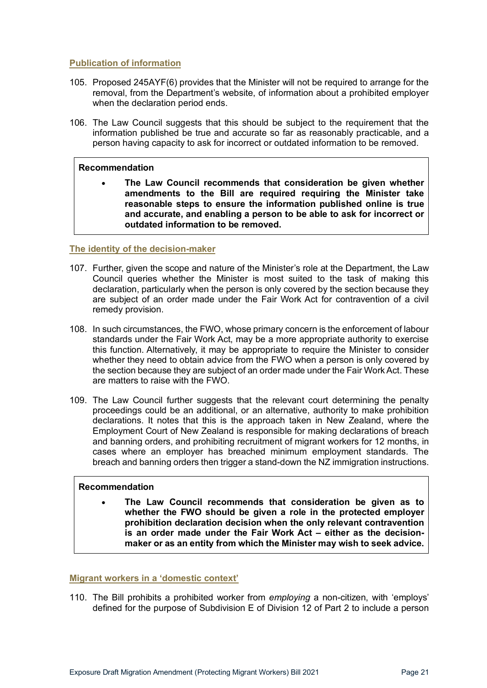#### <span id="page-20-0"></span>**Publication of information**

- 105. Proposed 245AYF(6) provides that the Minister will not be required to arrange for the removal, from the Department's website, of information about a prohibited employer when the declaration period ends.
- 106. The Law Council suggests that this should be subject to the requirement that the information published be true and accurate so far as reasonably practicable, and a person having capacity to ask for incorrect or outdated information to be removed.

#### **Recommendation**

• **The Law Council recommends that consideration be given whether amendments to the Bill are required requiring the Minister take reasonable steps to ensure the information published online is true and accurate, and enabling a person to be able to ask for incorrect or outdated information to be removed.** 

#### <span id="page-20-1"></span>**The identity of the decision-maker**

- 107. Further, given the scope and nature of the Minister's role at the Department, the Law Council queries whether the Minister is most suited to the task of making this declaration, particularly when the person is only covered by the section because they are subject of an order made under the Fair Work Act for contravention of a civil remedy provision.
- 108. In such circumstances, the FWO, whose primary concern is the enforcement of labour standards under the Fair Work Act, may be a more appropriate authority to exercise this function. Alternatively, it may be appropriate to require the Minister to consider whether they need to obtain advice from the FWO when a person is only covered by the section because they are subject of an order made under the Fair Work Act. These are matters to raise with the FWO.
- 109. The Law Council further suggests that the relevant court determining the penalty proceedings could be an additional, or an alternative, authority to make prohibition declarations. It notes that this is the approach taken in New Zealand, where the Employment Court of New Zealand is responsible for making declarations of breach and banning orders, and prohibiting recruitment of migrant workers for 12 months, in cases where an employer has breached minimum employment standards. The breach and banning orders then trigger a stand-down the NZ immigration instructions.

#### **Recommendation**

• **The Law Council recommends that consideration be given as to whether the FWO should be given a role in the protected employer prohibition declaration decision when the only relevant contravention is an order made under the Fair Work Act – either as the decisionmaker or as an entity from which the Minister may wish to seek advice.**

#### <span id="page-20-2"></span>**Migrant workers in a 'domestic context'**

110. The Bill prohibits a prohibited worker from *employing* a non-citizen, with 'employs' defined for the purpose of Subdivision E of Division 12 of Part 2 to include a person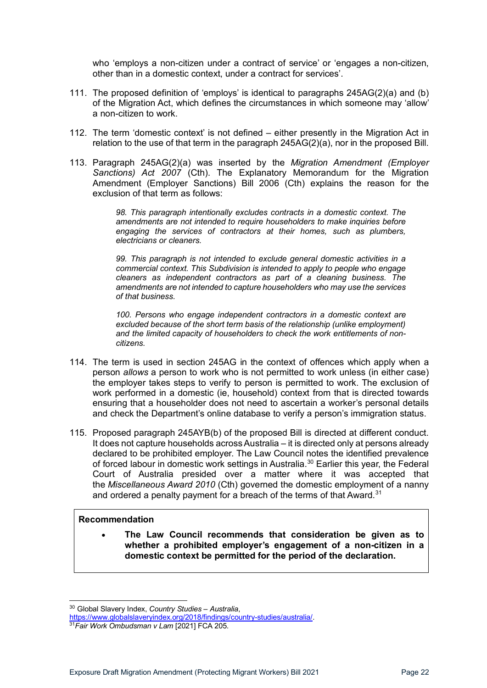who 'employs a non-citizen under a contract of service' or 'engages a non-citizen, other than in a domestic context, under a contract for services'.

- 111. The proposed definition of 'employs' is identical to paragraphs 245AG(2)(a) and (b) of the Migration Act, which defines the circumstances in which someone may 'allow' a non-citizen to work.
- 112. The term 'domestic context' is not defined either presently in the Migration Act in relation to the use of that term in the paragraph 245AG(2)(a), nor in the proposed Bill.
- 113. Paragraph 245AG(2)(a) was inserted by the *Migration Amendment (Employer Sanctions) Act 2007* (Cth). The Explanatory Memorandum for the Migration Amendment (Employer Sanctions) Bill 2006 (Cth) explains the reason for the exclusion of that term as follows:

*98. This paragraph intentionally excludes contracts in a domestic context. The amendments are not intended to require householders to make inquiries before engaging the services of contractors at their homes, such as plumbers, electricians or cleaners.*

*99. This paragraph is not intended to exclude general domestic activities in a commercial context. This Subdivision is intended to apply to people who engage cleaners as independent contractors as part of a cleaning business. The amendments are not intended to capture householders who may use the services of that business.*

*100. Persons who engage independent contractors in a domestic context are excluded because of the short term basis of the relationship (unlike employment) and the limited capacity of householders to check the work entitlements of noncitizens.*

- 114. The term is used in section 245AG in the context of offences which apply when a person *allows* a person to work who is not permitted to work unless (in either case) the employer takes steps to verify to person is permitted to work. The exclusion of work performed in a domestic (ie, household) context from that is directed towards ensuring that a householder does not need to ascertain a worker's personal details and check the Department's online database to verify a person's immigration status.
- 115. Proposed paragraph 245AYB(b) of the proposed Bill is directed at different conduct. It does not capture households across Australia – it is directed only at persons already declared to be prohibited employer. The Law Council notes the identified prevalence of forced labour in domestic work settings in Australia.<sup>[30](#page-21-0)</sup> Earlier this year, the Federal Court of Australia presided over a matter where it was accepted that the *Miscellaneous Award 2010* (Cth) governed the domestic employment of a nanny and ordered a penalty payment for a breach of the terms of that Award.<sup>[31](#page-21-1)</sup>

#### **Recommendation**

• **The Law Council recommends that consideration be given as to whether a prohibited employer's engagement of a non-citizen in a domestic context be permitted for the period of the declaration.**

<span id="page-21-0"></span><sup>30</sup> Global Slavery Index, *Country Studies – Australia*,

<span id="page-21-1"></span>[https://www.globalslaveryindex.org/2018/findings/country-studies/australia/.](https://www.globalslaveryindex.org/2018/findings/country-studies/australia/) 31*Fair Work Ombudsman <sup>v</sup> Lam* [2021] FCA 205.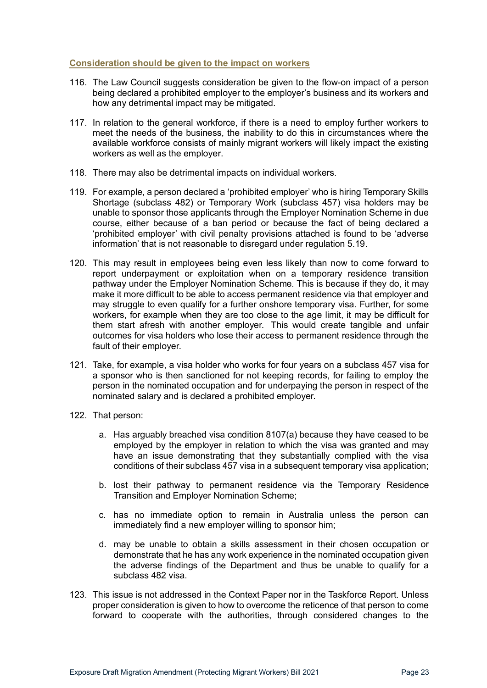#### <span id="page-22-0"></span>**Consideration should be given to the impact on workers**

- 116. The Law Council suggests consideration be given to the flow-on impact of a person being declared a prohibited employer to the employer's business and its workers and how any detrimental impact may be mitigated.
- 117. In relation to the general workforce, if there is a need to employ further workers to meet the needs of the business, the inability to do this in circumstances where the available workforce consists of mainly migrant workers will likely impact the existing workers as well as the employer.
- 118. There may also be detrimental impacts on individual workers.
- 119. For example, a person declared a 'prohibited employer' who is hiring Temporary Skills Shortage (subclass 482) or Temporary Work (subclass 457) visa holders may be unable to sponsor those applicants through the Employer Nomination Scheme in due course, either because of a ban period or because the fact of being declared a 'prohibited employer' with civil penalty provisions attached is found to be 'adverse information' that is not reasonable to disregard under regulation 5.19.
- 120. This may result in employees being even less likely than now to come forward to report underpayment or exploitation when on a temporary residence transition pathway under the Employer Nomination Scheme. This is because if they do, it may make it more difficult to be able to access permanent residence via that employer and may struggle to even qualify for a further onshore temporary visa. Further, for some workers, for example when they are too close to the age limit, it may be difficult for them start afresh with another employer. This would create tangible and unfair outcomes for visa holders who lose their access to permanent residence through the fault of their employer.
- 121. Take, for example, a visa holder who works for four years on a subclass 457 visa for a sponsor who is then sanctioned for not keeping records, for failing to employ the person in the nominated occupation and for underpaying the person in respect of the nominated salary and is declared a prohibited employer.
- 122. That person:
	- a. Has arguably breached visa condition 8107(a) because they have ceased to be employed by the employer in relation to which the visa was granted and may have an issue demonstrating that they substantially complied with the visa conditions of their subclass 457 visa in a subsequent temporary visa application;
	- b. lost their pathway to permanent residence via the Temporary Residence Transition and Employer Nomination Scheme;
	- c. has no immediate option to remain in Australia unless the person can immediately find a new employer willing to sponsor him;
	- d. may be unable to obtain a skills assessment in their chosen occupation or demonstrate that he has any work experience in the nominated occupation given the adverse findings of the Department and thus be unable to qualify for a subclass 482 visa.
- 123. This issue is not addressed in the Context Paper nor in the Taskforce Report. Unless proper consideration is given to how to overcome the reticence of that person to come forward to cooperate with the authorities, through considered changes to the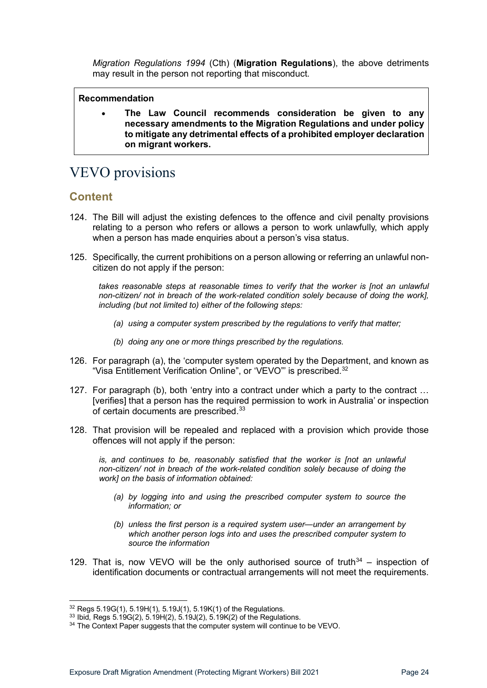*Migration Regulations 1994* (Cth) (**Migration Regulations**), the above detriments may result in the person not reporting that misconduct.

#### **Recommendation**

• **The Law Council recommends consideration be given to any necessary amendments to the Migration Regulations and under policy to mitigate any detrimental effects of a prohibited employer declaration on migrant workers.**

# <span id="page-23-0"></span>VEVO provisions

### <span id="page-23-1"></span>**Content**

- 124. The Bill will adjust the existing defences to the offence and civil penalty provisions relating to a person who refers or allows a person to work unlawfully, which apply when a person has made enquiries about a person's visa status.
- 125. Specifically, the current prohibitions on a person allowing or referring an unlawful noncitizen do not apply if the person:

*takes reasonable steps at reasonable times to verify that the worker is [not an unlawful non-citizen/ not in breach of the work-related condition solely because of doing the work], including (but not limited to) either of the following steps:*

- *(a) using a computer system prescribed by the regulations to verify that matter;*
- *(b) doing any one or more things prescribed by the regulations.*
- 126. For paragraph (a), the 'computer system operated by the Department, and known as "Visa Entitlement Verification Online", or 'VEVO"' is prescribed.[32](#page-23-2)
- 127. For paragraph (b), both 'entry into a contract under which a party to the contract … [verifies] that a person has the required permission to work in Australia' or inspection of certain documents are prescribed.<sup>33</sup>
- 128. That provision will be repealed and replaced with a provision which provide those offences will not apply if the person:

*is, and continues to be, reasonably satisfied that the worker is [not an unlawful non-citizen/ not in breach of the work-related condition solely because of doing the work] on the basis of information obtained:* 

- *(a) by logging into and using the prescribed computer system to source the information; or*
- *(b) unless the first person is a required system user—under an arrangement by which another person logs into and uses the prescribed computer system to source the information*
- 129. That is, now VEVO will be the only authorised source of truth $34$  inspection of identification documents or contractual arrangements will not meet the requirements.

<span id="page-23-2"></span><sup>32</sup> Regs 5.19G(1), 5.19H(1), 5.19J(1), 5.19K(1) of the Regulations.

<span id="page-23-3"></span><sup>33</sup> Ibid, Regs 5.19G(2), 5.19H(2), 5.19J(2), 5.19K(2) of the Regulations.

<span id="page-23-4"></span><sup>&</sup>lt;sup>34</sup> The Context Paper suggests that the computer system will continue to be VEVO.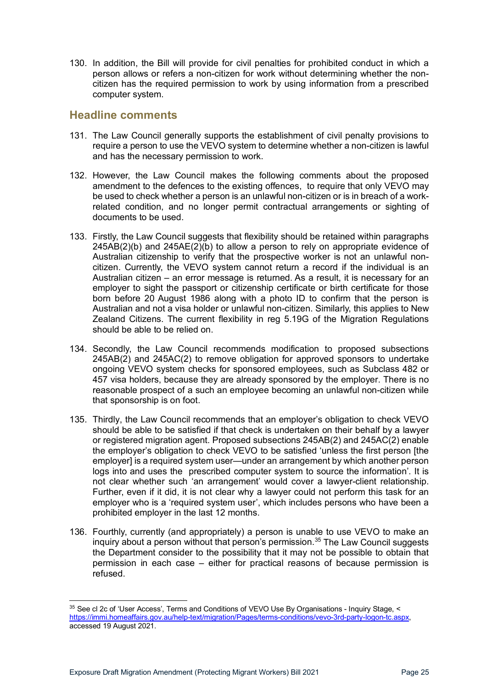130. In addition, the Bill will provide for civil penalties for prohibited conduct in which a person allows or refers a non-citizen for work without determining whether the noncitizen has the required permission to work by using information from a prescribed computer system.

### <span id="page-24-0"></span>**Headline comments**

- 131. The Law Council generally supports the establishment of civil penalty provisions to require a person to use the VEVO system to determine whether a non-citizen is lawful and has the necessary permission to work.
- 132. However, the Law Council makes the following comments about the proposed amendment to the defences to the existing offences, to require that only VEVO may be used to check whether a person is an unlawful non-citizen or is in breach of a workrelated condition, and no longer permit contractual arrangements or sighting of documents to be used.
- 133. Firstly, the Law Council suggests that flexibility should be retained within paragraphs  $245AB(2)$ (b) and  $245AE(2)$ (b) to allow a person to rely on appropriate evidence of Australian citizenship to verify that the prospective worker is not an unlawful noncitizen. Currently, the VEVO system cannot return a record if the individual is an Australian citizen – an error message is returned. As a result, it is necessary for an employer to sight the passport or citizenship certificate or birth certificate for those born before 20 August 1986 along with a photo ID to confirm that the person is Australian and not a visa holder or unlawful non-citizen. Similarly, this applies to New Zealand Citizens. The current flexibility in reg 5.19G of the Migration Regulations should be able to be relied on.
- 134. Secondly, the Law Council recommends modification to proposed subsections 245AB(2) and 245AC(2) to remove obligation for approved sponsors to undertake ongoing VEVO system checks for sponsored employees, such as Subclass 482 or 457 visa holders, because they are already sponsored by the employer. There is no reasonable prospect of a such an employee becoming an unlawful non-citizen while that sponsorship is on foot.
- 135. Thirdly, the Law Council recommends that an employer's obligation to check VEVO should be able to be satisfied if that check is undertaken on their behalf by a lawyer or registered migration agent. Proposed subsections 245AB(2) and 245AC(2) enable the employer's obligation to check VEVO to be satisfied 'unless the first person [the employer] is a required system user—under an arrangement by which another person logs into and uses the prescribed computer system to source the information'. It is not clear whether such 'an arrangement' would cover a lawyer-client relationship. Further, even if it did, it is not clear why a lawyer could not perform this task for an employer who is a 'required system user', which includes persons who have been a prohibited employer in the last 12 months.
- 136. Fourthly, currently (and appropriately) a person is unable to use VEVO to make an inquiry about a person without that person's permission. [35](#page-24-1) The Law Council suggests the Department consider to the possibility that it may not be possible to obtain that permission in each case – either for practical reasons of because permission is refused.

<span id="page-24-1"></span><sup>&</sup>lt;sup>35</sup> See cl 2c of 'User Access', Terms and Conditions of VEVO Use By Organisations - Inquiry Stage, < [https://immi.homeaffairs.gov.au/help-text/migration/Pages/terms-conditions/vevo-3rd-party-logon-tc.aspx,](https://immi.homeaffairs.gov.au/help-text/migration/Pages/terms-conditions/vevo-3rd-party-logon-tc.aspx) accessed 19 August 2021.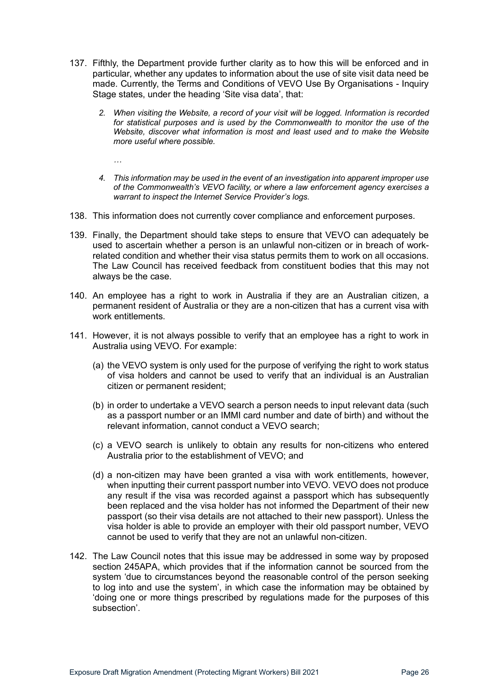- 137. Fifthly, the Department provide further clarity as to how this will be enforced and in particular, whether any updates to information about the use of site visit data need be made. Currently, the Terms and Conditions of VEVO Use By Organisations - Inquiry Stage states, under the heading 'Site visa data', that:
	- *2. When visiting the Website, a record of your visit will be logged. Information is recorded for statistical purposes and is used by the Commonwealth to monitor the use of the Website, discover what information is most and least used and to make the Website more useful where possible.*
		- *…*
	- *4. This information may be used in the event of an investigation into apparent improper use of the Commonwealth's VEVO facility, or where a law enforcement agency exercises a warrant to inspect the Internet Service Provider's logs.*
- 138. This information does not currently cover compliance and enforcement purposes.
- 139. Finally, the Department should take steps to ensure that VEVO can adequately be used to ascertain whether a person is an unlawful non-citizen or in breach of workrelated condition and whether their visa status permits them to work on all occasions. The Law Council has received feedback from constituent bodies that this may not always be the case.
- 140. An employee has a right to work in Australia if they are an Australian citizen, a permanent resident of Australia or they are a non-citizen that has a current visa with work entitlements.
- 141. However, it is not always possible to verify that an employee has a right to work in Australia using VEVO. For example:
	- (a) the VEVO system is only used for the purpose of verifying the right to work status of visa holders and cannot be used to verify that an individual is an Australian citizen or permanent resident;
	- (b) in order to undertake a VEVO search a person needs to input relevant data (such as a passport number or an IMMI card number and date of birth) and without the relevant information, cannot conduct a VEVO search;
	- (c) a VEVO search is unlikely to obtain any results for non-citizens who entered Australia prior to the establishment of VEVO; and
	- (d) a non-citizen may have been granted a visa with work entitlements, however, when inputting their current passport number into VEVO. VEVO does not produce any result if the visa was recorded against a passport which has subsequently been replaced and the visa holder has not informed the Department of their new passport (so their visa details are not attached to their new passport). Unless the visa holder is able to provide an employer with their old passport number, VEVO cannot be used to verify that they are not an unlawful non-citizen.
- 142. The Law Council notes that this issue may be addressed in some way by proposed section 245APA, which provides that if the information cannot be sourced from the system 'due to circumstances beyond the reasonable control of the person seeking to log into and use the system', in which case the information may be obtained by 'doing one or more things prescribed by regulations made for the purposes of this subsection'.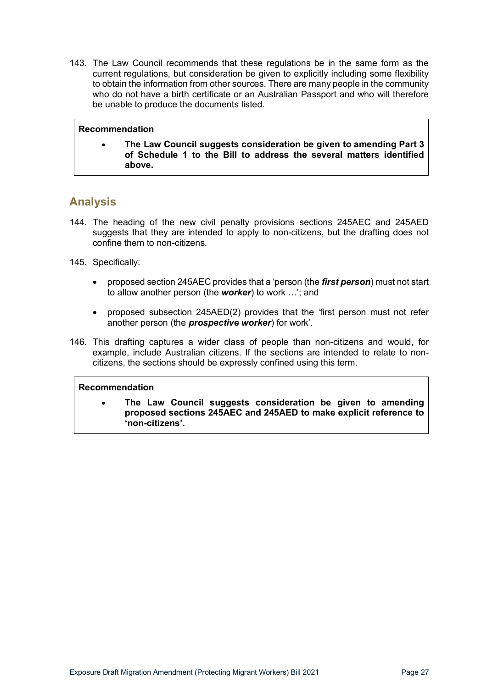143. The Law Council recommends that these regulations be in the same form as the current regulations, but consideration be given to explicitly including some flexibility to obtain the information from other sources. There are many people in the community who do not have a birth certificate or an Australian Passport and who will therefore be unable to produce the documents listed.

#### **Recommendation**

• **The Law Council suggests consideration be given to amending Part 3 of Schedule 1 to the Bill to address the several matters identified above.**

# <span id="page-26-0"></span>**Analysis**

- 144. The heading of the new civil penalty provisions sections 245AEC and 245AED suggests that they are intended to apply to non-citizens, but the drafting does not confine them to non-citizens.
- 145. Specifically:
	- proposed section 245AEC provides that a 'person (the *first person*) must not start to allow another person (the *worker*) to work …'; and
	- proposed subsection 245AED(2) provides that the 'first person must not refer another person (the *prospective worker*) for work'.
- 146. This drafting captures a wider class of people than non-citizens and would, for example, include Australian citizens. If the sections are intended to relate to noncitizens, the sections should be expressly confined using this term.

#### **Recommendation**

• **The Law Council suggests consideration be given to amending proposed sections 245AEC and 245AED to make explicit reference to 'non-citizens'.**